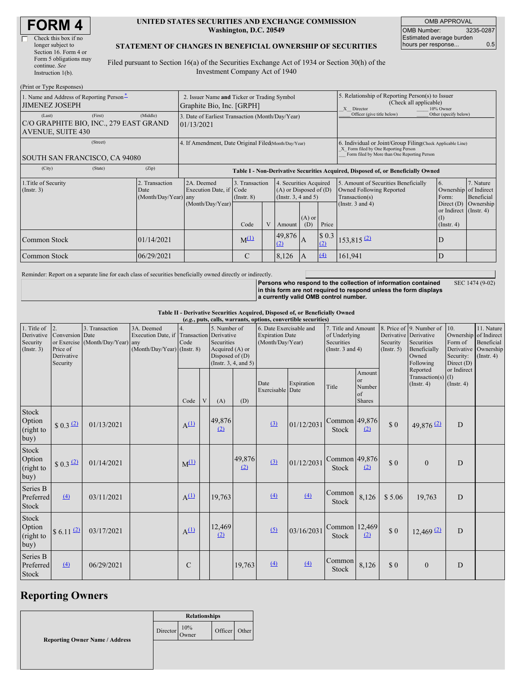| <b>FORM4</b> |  |
|--------------|--|
|--------------|--|

| Check this box if no   |
|------------------------|
| longer subject to      |
| Section 16. Form 4 or  |
| Form 5 obligations may |
| continue. See          |
| Instruction $l(b)$ .   |

#### **UNITED STATES SECURITIES AND EXCHANGE COMMISSION Washington, D.C. 20549**

OMB APPROVAL OMB Number: 3235-0287 Estimated average burden hours per response... 0.5

#### **STATEMENT OF CHANGES IN BENEFICIAL OWNERSHIP OF SECURITIES**

Filed pursuant to Section 16(a) of the Securities Exchange Act of 1934 or Section 30(h) of the Investment Company Act of 1940

| (Print or Type Responses)                                                               |                                                |                                                                                  |                                   |  |                                                                              |                 |                                                                                                                                                    |                                                                                    |                                                                   |                         |
|-----------------------------------------------------------------------------------------|------------------------------------------------|----------------------------------------------------------------------------------|-----------------------------------|--|------------------------------------------------------------------------------|-----------------|----------------------------------------------------------------------------------------------------------------------------------------------------|------------------------------------------------------------------------------------|-------------------------------------------------------------------|-------------------------|
| 1. Name and Address of Reporting Person-<br><b>JIMENEZ JOSEPH</b>                       |                                                | 2. Issuer Name and Ticker or Trading Symbol<br>Graphite Bio, Inc. [GRPH]         |                                   |  |                                                                              |                 | 5. Relationship of Reporting Person(s) to Issuer<br>(Check all applicable)<br>X Director<br>10% Owner                                              |                                                                                    |                                                                   |                         |
| (First)<br>(Last)<br>C/O GRAPHITE BIO, INC., 279 EAST GRAND<br><b>AVENUE, SUITE 430</b> | (Middle)                                       | 3. Date of Earliest Transaction (Month/Day/Year)<br>01/13/2021                   |                                   |  |                                                                              |                 | Officer (give title below)                                                                                                                         | Other (specify below)                                                              |                                                                   |                         |
| (Street)<br>SOUTH SAN FRANCISCO, CA 94080                                               |                                                | 4. If Amendment, Date Original Filed(Month/Day/Year)                             |                                   |  |                                                                              |                 | 6. Individual or Joint/Group Filing Check Applicable Line)<br>X Form filed by One Reporting Person<br>Form filed by More than One Reporting Person |                                                                                    |                                                                   |                         |
| (City)<br>(State)                                                                       | (Zip)                                          | Table I - Non-Derivative Securities Acquired, Disposed of, or Beneficially Owned |                                   |  |                                                                              |                 |                                                                                                                                                    |                                                                                    |                                                                   |                         |
| 1. Title of Security<br>(Insert. 3)                                                     | 2. Transaction<br>Date<br>(Month/Day/Year) any | 2A. Deemed<br>Execution Date, if Code                                            | 3. Transaction<br>$($ Instr. $8)$ |  | 4. Securities Acquired<br>$(A)$ or Disposed of $(D)$<br>(Insert. 3, 4 and 5) |                 |                                                                                                                                                    | 5. Amount of Securities Beneficially<br>Owned Following Reported<br>Transaction(s) | 6.<br>Ownership of Indirect<br>Form:                              | 7. Nature<br>Beneficial |
|                                                                                         |                                                | (Month/Day/Year)                                                                 | Code                              |  | Amount                                                                       | $(A)$ or<br>(D) | Price                                                                                                                                              | (Instr. $3$ and $4$ )                                                              | Direct $(D)$<br>or Indirect (Instr. 4)<br>(1)<br>$($ Instr. 4 $)$ | Ownership               |
| Common Stock                                                                            | 01/14/2021                                     |                                                                                  | $M^{(1)}$                         |  | 49,876<br>(2)                                                                | A               | \$0.3<br>(2)                                                                                                                                       | $153,815$ (2)                                                                      | D                                                                 |                         |
| Common Stock                                                                            | 06/29/2021                                     |                                                                                  | C                                 |  | 8,126                                                                        | A               | (4)                                                                                                                                                | 161.941                                                                            | D                                                                 |                         |

Reminder: Report on a separate line for each class of securities beneficially owned directly or indirectly.

**Persons who respond to the collection of information contained in this form are not required to respond unless the form displays a currently valid OMB control number.** SEC 1474 (9-02)

**Table II - Derivative Securities Acquired, Disposed of, or Beneficially Owned**

| (e.g., puts, calls, warrants, options, convertible securities) |                                                             |                                                    |                                                                                        |               |   |                                                                                                |               |                                                                       |            |                                                                             |                                                   |                         |                                                                                                       |                                                                    |                                                                      |
|----------------------------------------------------------------|-------------------------------------------------------------|----------------------------------------------------|----------------------------------------------------------------------------------------|---------------|---|------------------------------------------------------------------------------------------------|---------------|-----------------------------------------------------------------------|------------|-----------------------------------------------------------------------------|---------------------------------------------------|-------------------------|-------------------------------------------------------------------------------------------------------|--------------------------------------------------------------------|----------------------------------------------------------------------|
| 1. Title of<br>Derivative<br>Security<br>(Insert. 3)           | 2.<br>Conversion Date<br>Price of<br>Derivative<br>Security | 3. Transaction<br>or Exercise (Month/Day/Year) any | 3A. Deemed<br>Execution Date, if Transaction Derivative<br>(Month/Day/Year) (Instr. 8) | Code          |   | 5. Number of<br>Securities<br>Acquired (A) or<br>Disposed of (D)<br>(Instr. $3, 4,$ and $5)$ ) |               | 6. Date Exercisable and<br><b>Expiration Date</b><br>(Month/Day/Year) |            | 7. Title and Amount<br>of Underlying<br>Securities<br>(Instr. $3$ and $4$ ) |                                                   | Security<br>(Insert. 5) | 8. Price of 9. Number of<br>Derivative Derivative<br>Securities<br>Beneficially<br>Owned<br>Following | 10.<br>Ownership of Indirect<br>Form of<br>Security:<br>Direct (D) | 11. Nature<br>Beneficial<br>Derivative Ownership<br>$($ Instr. 4 $)$ |
|                                                                |                                                             |                                                    |                                                                                        | Code          | V | (A)                                                                                            | (D)           | Date<br>Exercisable Date                                              | Expiration | Title                                                                       | Amount<br><sub>or</sub><br>Number<br>of<br>Shares |                         | Reported<br>Transaction(s) $(I)$<br>(Insert, 4)                                                       | or Indirect<br>$($ Instr. 4 $)$                                    |                                                                      |
| Stock<br>Option<br>(right to<br>buy)                           | $$0.3$ $(2)$                                                | 01/13/2021                                         |                                                                                        | $A^{(1)}$     |   | 49,876<br>(2)                                                                                  |               | $\left(3\right)$                                                      | 01/12/2031 | Common 49,876<br>Stock                                                      | (2)                                               | \$0                     | 49,876 (2)                                                                                            | D                                                                  |                                                                      |
| Stock<br>Option<br>(right to<br>buy)                           | $$0.3$ <sup>(2)</sup>                                       | 01/14/2021                                         |                                                                                        | $M^{(1)}$     |   |                                                                                                | 49,876<br>(2) | (3)                                                                   | 01/12/2031 | Common 49,876<br>Stock                                                      | (2)                                               | \$0                     | $\mathbf{0}$                                                                                          | D                                                                  |                                                                      |
| Series B<br>Preferred<br>Stock                                 | (4)                                                         | 03/11/2021                                         |                                                                                        | $A^{(1)}$     |   | 19,763                                                                                         |               | (4)                                                                   | (4)        | Common<br>Stock                                                             | 8,126                                             | \$5.06                  | 19,763                                                                                                | D                                                                  |                                                                      |
| Stock<br>Option<br>(right to<br>buy)                           | $$6.11$ $@$                                                 | 03/17/2021                                         |                                                                                        | $A^{(1)}$     |   | 12,469<br>(2)                                                                                  |               | (5)                                                                   | 03/16/2031 | Common 12,469<br><b>Stock</b>                                               | (2)                                               | \$0                     | $12,469$ <sup>(2)</sup>                                                                               | $\overline{D}$                                                     |                                                                      |
| Series B<br>Preferred<br><b>Stock</b>                          | $\Delta$                                                    | 06/29/2021                                         |                                                                                        | $\mathcal{C}$ |   |                                                                                                | 19,763        | $\left(4\right)$                                                      | (4)        | Common<br>Stock                                                             | 8,126                                             | \$0                     | $\theta$                                                                                              | D                                                                  |                                                                      |

# **Reporting Owners**

**Relationships** Director 10% Owner Officer Other

**Reporting Owner Name / Address**